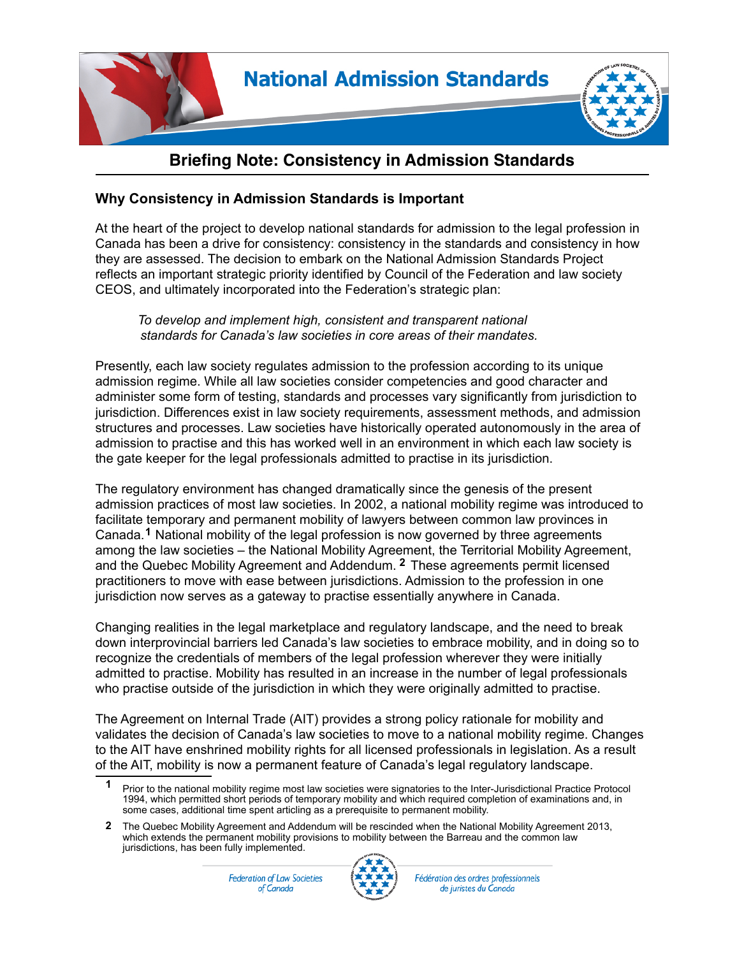

## **Briefing Note: Consistency in Admission Standards**

## **Why Consistency in Admission Standards is Important**

At the heart of the project to develop national standards for admission to the legal profession in Canada has been a drive for consistency: consistency in the standards and consistency in how they are assessed. The decision to embark on the National Admission Standards Project reflects an important strategic priority identified by Council of the Federation and law society CEOS, and ultimately incorporated into the Federation's strategic plan:

*To develop and implement high, consistent and transparent national standards for Canada's law societies in core areas of their mandates.*

Presently, each law society regulates admission to the profession according to its unique admission regime. While all law societies consider competencies and good character and administer some form of testing, standards and processes vary significantly from jurisdiction to jurisdiction. Differences exist in law society requirements, assessment methods, and admission structures and processes. Law societies have historically operated autonomously in the area of admission to practise and this has worked well in an environment in which each law society is the gate keeper for the legal professionals admitted to practise in its jurisdiction.

The regulatory environment has changed dramatically since the genesis of the present admission practices of most law societies. In 2002, a national mobility regime was introduced to facilitate temporary and permanent mobility of lawyers between common law provinces in Canada.<sup>1</sup> National mobility of the legal profession is now governed by three agreements among the law societies – the National Mobility Agreement, the Territorial Mobility Agreement, and the Quebec Mobility Agreement and Addendum. <sup>2</sup> These agreements permit licensed practitioners to move with ease between jurisdictions. Admission to the profession in one jurisdiction now serves as a gateway to practise essentially anywhere in Canada.

Changing realities in the legal marketplace and regulatory landscape, and the need to break down interprovincial barriers led Canada's law societies to embrace mobility, and in doing so to recognize the credentials of members of the legal profession wherever they were initially admitted to practise. Mobility has resulted in an increase in the number of legal professionals who practise outside of the jurisdiction in which they were originally admitted to practise.

The Agreement on Internal Trade (AIT) provides a strong policy rationale for mobility and validates the decision of Canada's law societies to move to a national mobility regime. Changes to the AIT have enshrined mobility rights for all licensed professionals in legislation. As a result of the AIT, mobility is now a permanent feature of Canada's legal regulatory landscape.

**Federation of Law Societies** of Canada



Fédération des ordres professionnels de juristes du Canada

Prior to the national mobility regime most law societies were signatories to the Inter-Jurisdictional Practice Protocol 1994, which permitted short periods of temporary mobility and which required completion of examinations and, in some cases, additional time spent articling as a prerequisite to permanent mobility. **1**

<sup>2</sup> The Quebec Mobility Agreement and Addendum will be rescinded when the National Mobility Agreement 2013, which extends the permanent mobility provisions to mobility between the Barreau and the common law jurisdictions, has been fully implemented.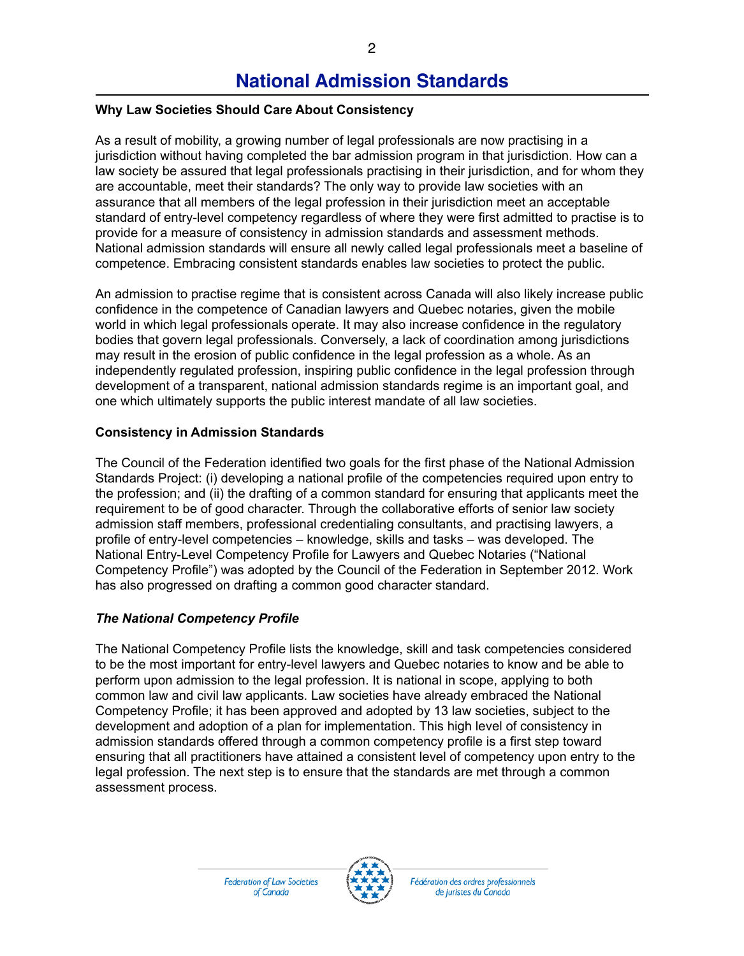# **National Admission Standards**

## **Why Law Societies Should Care About Consistency**

As a result of mobility, a growing number of legal professionals are now practising in a jurisdiction without having completed the bar admission program in that jurisdiction. How can a law society be assured that legal professionals practising in their jurisdiction, and for whom they are accountable, meet their standards? The only way to provide law societies with an assurance that all members of the legal profession in their jurisdiction meet an acceptable standard of entry-level competency regardless of where they were first admitted to practise is to provide for a measure of consistency in admission standards and assessment methods. National admission standards will ensure all newly called legal professionals meet a baseline of competence. Embracing consistent standards enables law societies to protect the public.

An admission to practise regime that is consistent across Canada will also likely increase public confidence in the competence of Canadian lawyers and Quebec notaries, given the mobile world in which legal professionals operate. It may also increase confidence in the regulatory bodies that govern legal professionals. Conversely, a lack of coordination among jurisdictions may result in the erosion of public confidence in the legal profession as a whole. As an independently regulated profession, inspiring public confidence in the legal profession through development of a transparent, national admission standards regime is an important goal, and one which ultimately supports the public interest mandate of all law societies.

## **Consistency in Admission Standards**

The Council of the Federation identified two goals for the first phase of the National Admission Standards Project: (i) developing a national profile of the competencies required upon entry to the profession; and (ii) the drafting of a common standard for ensuring that applicants meet the requirement to be of good character. Through the collaborative efforts of senior law society admission staff members, professional credentialing consultants, and practising lawyers, a profile of entry-level competencies – knowledge, skills and tasks – was developed. The National Entry-Level Competency Profile for Lawyers and Quebec Notaries ("National Competency Profile") was adopted by the Council of the Federation in September 2012. Work has also progressed on drafting a common good character standard.

## *The National Competency Profile*

The National Competency Profile lists the knowledge, skill and task competencies considered to be the most important for entry-level lawyers and Quebec notaries to know and be able to perform upon admission to the legal profession. It is national in scope, applying to both common law and civil law applicants. Law societies have already embraced the National Competency Profile; it has been approved and adopted by 13 law societies, subject to the development and adoption of a plan for implementation. This high level of consistency in admission standards offered through a common competency profile is a first step toward ensuring that all practitioners have attained a consistent level of competency upon entry to the legal profession. The next step is to ensure that the standards are met through a common assessment process.



Fédération des ordres professionnels de juristes du Canada